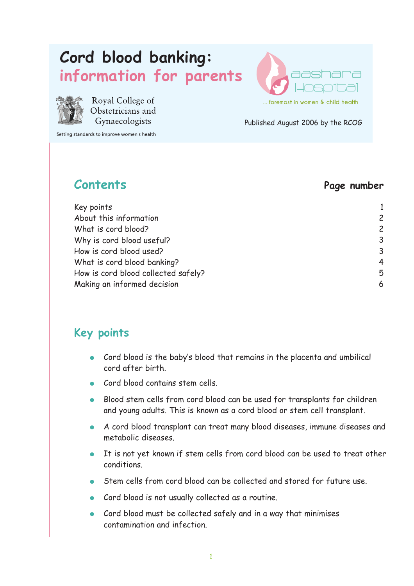# **Cord blood banking: information for parents**



Royal College of Obstetricians and Gynaecologists

Setting standards to improve women's health

# **aashara**  ... foremost in women & child health

Published August 2006 by the RCOG

#### **Contents Page number**

| Key points                          |                |
|-------------------------------------|----------------|
| About this information              | $\overline{c}$ |
| What is cord blood?                 | $\overline{c}$ |
| Why is cord blood useful?           | 3              |
| How is cord blood used?             | $\overline{3}$ |
| What is cord blood banking?         | $\overline{4}$ |
| How is cord blood collected safely? | 5              |
| Making an informed decision         | 6              |

#### **Key points**

- Cord blood is the baby's blood that remains in the placenta and umbilical cord after birth.
- Cord blood contains stem cells.
- Blood stem cells from cord blood can be used for transplants for children and young adults. This is known as a cord blood or stem cell transplant.
- A cord blood transplant can treat many blood diseases, immune diseases and metabolic diseases.
- It is not yet known if stem cells from cord blood can be used to treat other conditions.
- Stem cells from cord blood can be collected and stored for future use.
- Cord blood is not usually collected as a routine.
- Cord blood must be collected safely and in a way that minimises contamination and infection.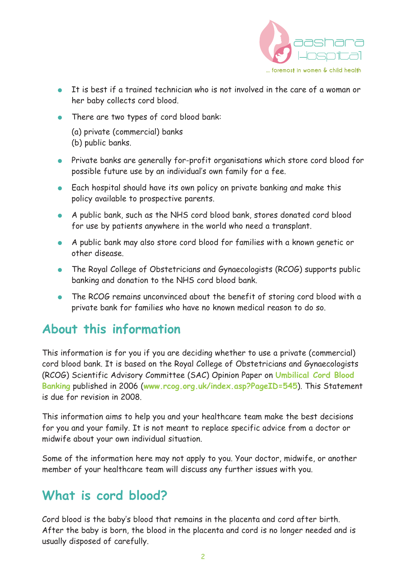

- It is best if a trained technician who is not involved in the care of a woman or her baby collects cord blood.
- There are two types of cord blood bank:
	- (a) private (commercial) banks (b) public banks.
- Private banks are generally for-profit organisations which store cord blood for possible future use by an individual's own family for a fee.
- Each hospital should have its own policy on private banking and make this policy available to prospective parents.
- A public bank, such as the NHS cord blood bank, stores donated cord blood for use by patients anywhere in the world who need a transplant.
- A public bank may also store cord blood for families with a known genetic or other disease.
- The Royal College of Obstetricians and Gynaecologists (RCOG) supports public banking and donation to the NHS cord blood bank.
- The RCOG remains unconvinced about the benefit of storing cord blood with a private bank for families who have no known medical reason to do so.

#### **About this information**

This information is for you if you are deciding whether to use a private (commercial) cord blood bank. It is based on the Royal College of Obstetricians and Gynaecologists (RCOG) Scientific Advisory Committee (SAC) Opinion Paper on **Umbilical Cord Blood Banking** published in 2006 (**www.rcog.org.uk/index.asp?PageID=545**). This Statement is due for revision in 2008.

This information aims to help you and your healthcare team make the best decisions for you and your family. It is not meant to replace specific advice from a doctor or midwife about your own individual situation.

Some of the information here may not apply to you. Your doctor, midwife, or another member of your healthcare team will discuss any further issues with you.

#### **What is cord blood?**

Cord blood is the baby's blood that remains in the placenta and cord after birth. After the baby is born, the blood in the placenta and cord is no longer needed and is usually disposed of carefully.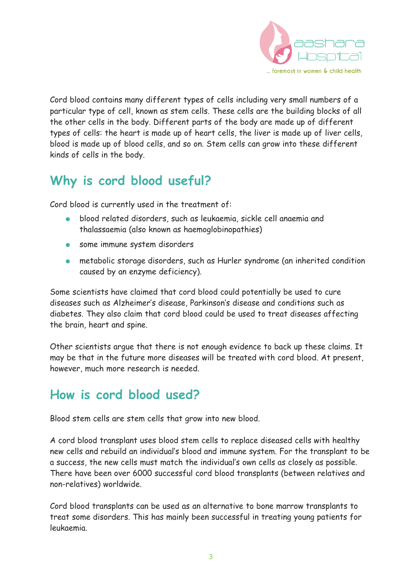

Cord blood contains many different types of cells including very small numbers of a particular type of cell, known as stem cells. These cells are the building blocks of all the other cells in the body. Different parts of the body are made up of different types of cells: the heart is made up of heart cells, the liver is made up of liver cells, blood is made up of blood cells, and so on. Stem cells can grow into these different kinds of cells in the body.

## **Why is cord blood useful?**

Cord blood is currently used in the treatment of:

- blood related disorders, such as leukaemia, sickle cell anaemia and thalassaemia (also known as haemoglobinopathies)
- some immune system disorders
- metabolic storage disorders, such as Hurler syndrome (an inherited condition caused by an enzyme deficiency).

Some scientists have claimed that cord blood could potentially be used to cure diseases such as Alzheimer's disease, Parkinson's disease and conditions such as diabetes. They also claim that cord blood could be used to treat diseases affecting the brain, heart and spine.

Other scientists argue that there is not enough evidence to back up these claims. It may be that in the future more diseases will be treated with cord blood. At present, however, much more research is needed.

## **How is cord blood used?**

Blood stem cells are stem cells that grow into new blood.

A cord blood transplant uses blood stem cells to replace diseased cells with healthy new cells and rebuild an individual's blood and immune system. For the transplant to be a success, the new cells must match the individual's own cells as closely as possible. There have been over 6000 successful cord blood transplants (between relatives and non-relatives) worldwide.

Cord blood transplants can be used as an alternative to bone marrow transplants to treat some disorders. This has mainly been successful in treating young patients for leukaemia.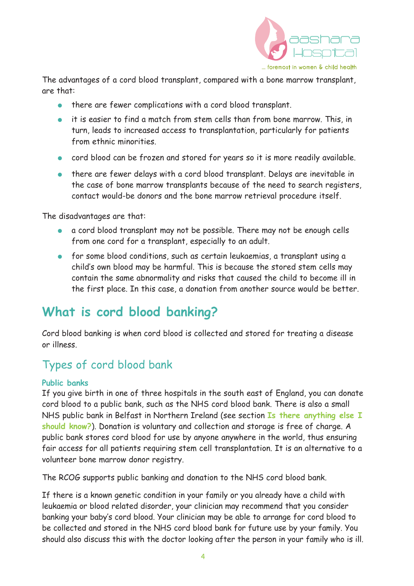

The advantages of a cord blood transplant, compared with a bone marrow transplant, are that:

- there are fewer complications with a cord blood transplant.
- it is easier to find a match from stem cells than from bone marrow. This, in turn, leads to increased access to transplantation, particularly for patients from ethnic minorities.
- cord blood can be frozen and stored for years so it is more readily available.
- there are fewer delays with a cord blood transplant. Delays are inevitable in the case of bone marrow transplants because of the need to search registers, contact would-be donors and the bone marrow retrieval procedure itself.

The disadvantages are that:

- a cord blood transplant may not be possible. There may not be enough cells from one cord for a transplant, especially to an adult.
- for some blood conditions, such as certain leukaemias, a transplant using a child's own blood may be harmful. This is because the stored stem cells may contain the same abnormality and risks that caused the child to become ill in the first place. In this case, a donation from another source would be better.

## **What is cord blood banking?**

Cord blood banking is when cord blood is collected and stored for treating a disease or illness.

#### Types of cord blood bank

#### **Public banks**

If you give birth in one of three hospitals in the south east of England, you can donate cord blood to a public bank, such as the NHS cord blood bank. There is also a small NHS public bank in Belfast in Northern Ireland (see section **Is there anything else I should know?**). Donation is voluntary and collection and storage is free of charge. A public bank stores cord blood for use by anyone anywhere in the world, thus ensuring fair access for all patients requiring stem cell transplantation. It is an alternative to a volunteer bone marrow donor registry.

The RCOG supports public banking and donation to the NHS cord blood bank.

If there is a known genetic condition in your family or you already have a child with leukaemia or blood related disorder, your clinician may recommend that you consider banking your baby's cord blood. Your clinician may be able to arrange for cord blood to be collected and stored in the NHS cord blood bank for future use by your family. You should also discuss this with the doctor looking after the person in your family who is ill.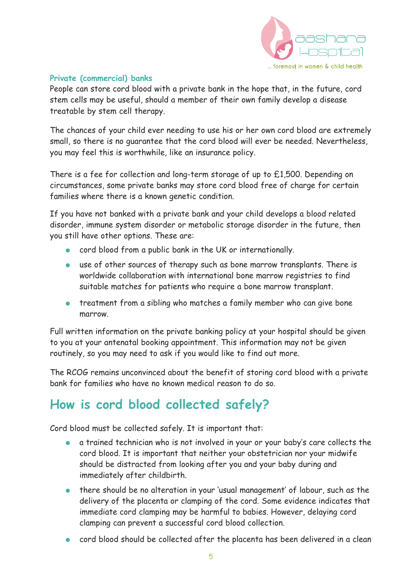

#### **Private (commercial) banks**

People can store cord blood with a private bank in the hope that, in the future, cord stem cells may be useful, should a member of their own family develop a disease treatable by stem cell therapy.

The chances of your child ever needing to use his or her own cord blood are extremely small, so there is no guarantee that the cord blood will ever be needed. Nevertheless, you may feel this is worthwhile, like an insurance policy.

There is a fee for collection and long-term storage of up to £1,500. Depending on circumstances, some private banks may store cord blood free of charge for certain families where there is a known genetic condition.

If you have not banked with a private bank and your child develops a blood related disorder, immune system disorder or metabolic storage disorder in the future, then you still have other options. These are:

- cord blood from a public bank in the UK or internationally.
- use of other sources of therapy such as bone marrow transplants. There is worldwide collaboration with international bone marrow registries to find suitable matches for patients who require a bone marrow transplant.
- treatment from a sibling who matches a family member who can give bone marrow.

Full written information on the private banking policy at your hospital should be given to you at your antenatal booking appointment. This information may not be given routinely, so you may need to ask if you would like to find out more.

The RCOG remains unconvinced about the benefit of storing cord blood with a private bank for families who have no known medical reason to do so.

## **How is cord blood collected safely?**

Cord blood must be collected safely. It is important that:

- a trained technician who is not involved in your or your baby's care collects the cord blood. It is important that neither your obstetrician nor your midwife should be distracted from looking after you and your baby during and immediately after childbirth.
- there should be no alteration in your 'usual management' of labour, such as the delivery of the placenta or clamping of the cord. Some evidence indicates that immediate cord clamping may be harmful to babies. However, delaying cord clamping can prevent a successful cord blood collection.
- cord blood should be collected after the placenta has been delivered in a clean